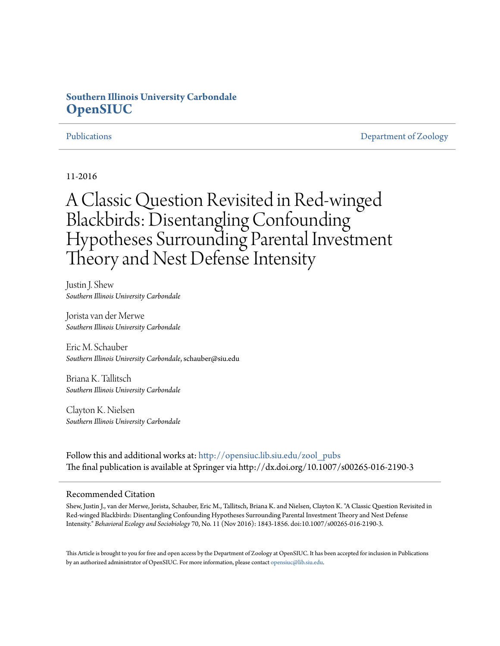# **Southern Illinois University Carbondale [OpenSIUC](http://opensiuc.lib.siu.edu?utm_source=opensiuc.lib.siu.edu%2Fzool_pubs%2F114&utm_medium=PDF&utm_campaign=PDFCoverPages)**

[Publications](http://opensiuc.lib.siu.edu/zool_pubs?utm_source=opensiuc.lib.siu.edu%2Fzool_pubs%2F114&utm_medium=PDF&utm_campaign=PDFCoverPages) **[Department of Zoology](http://opensiuc.lib.siu.edu/zool?utm_source=opensiuc.lib.siu.edu%2Fzool_pubs%2F114&utm_medium=PDF&utm_campaign=PDFCoverPages)** 

11-2016

# A Classic Question Revisited in Red-winged Blackbirds: Disentangling Confounding Hypotheses Surrounding Parental Investment Theory and Nest Defense Intensity

Justin J. Shew *Southern Illinois University Carbondale*

Jorista van der Merwe *Southern Illinois University Carbondale*

Eric M. Schauber *Southern Illinois University Carbondale*, schauber@siu.edu

Briana K. Tallitsch *Southern Illinois University Carbondale*

Clayton K. Nielsen *Southern Illinois University Carbondale*

Follow this and additional works at: [http://opensiuc.lib.siu.edu/zool\\_pubs](http://opensiuc.lib.siu.edu/zool_pubs?utm_source=opensiuc.lib.siu.edu%2Fzool_pubs%2F114&utm_medium=PDF&utm_campaign=PDFCoverPages) The final publication is available at Springer via http://dx.doi.org/10.1007/s00265-016-2190-3

#### Recommended Citation

Shew, Justin J., van der Merwe, Jorista, Schauber, Eric M., Tallitsch, Briana K. and Nielsen, Clayton K. "A Classic Question Revisited in Red-winged Blackbirds: Disentangling Confounding Hypotheses Surrounding Parental Investment Theory and Nest Defense Intensity." *Behavioral Ecology and Sociobiology* 70, No. 11 (Nov 2016): 1843-1856. doi:10.1007/s00265-016-2190-3.

This Article is brought to you for free and open access by the Department of Zoology at OpenSIUC. It has been accepted for inclusion in Publications by an authorized administrator of OpenSIUC. For more information, please contact [opensiuc@lib.siu.edu.](mailto:opensiuc@lib.siu.edu)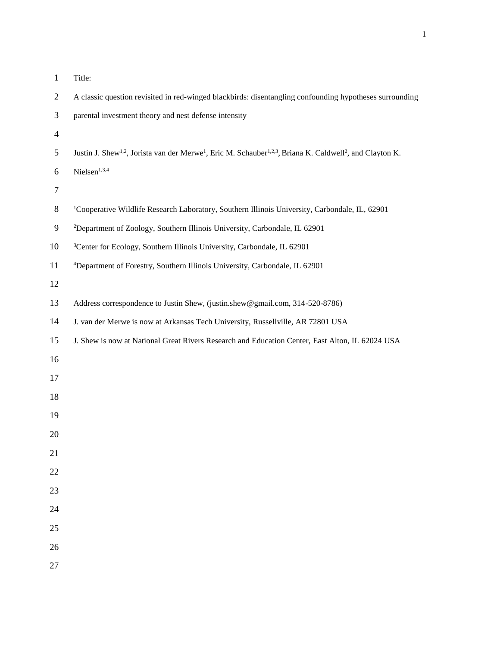| Title: |
|--------|
|        |

| $\overline{2}$ | A classic question revisited in red-winged blackbirds: disentangling confounding hypotheses surrounding                                                   |
|----------------|-----------------------------------------------------------------------------------------------------------------------------------------------------------|
| 3              | parental investment theory and nest defense intensity                                                                                                     |
| $\overline{4}$ |                                                                                                                                                           |
| 5              | Justin J. Shew <sup>1,2</sup> , Jorista van der Merwe <sup>1</sup> , Eric M. Schauber <sup>1,2,3</sup> , Briana K. Caldwell <sup>2</sup> , and Clayton K. |
| 6              | Nielsen <sup>1,3,4</sup>                                                                                                                                  |
| 7              |                                                                                                                                                           |
| 8              | <sup>1</sup> Cooperative Wildlife Research Laboratory, Southern Illinois University, Carbondale, IL, 62901                                                |
| 9              | <sup>2</sup> Department of Zoology, Southern Illinois University, Carbondale, IL 62901                                                                    |
| 10             | <sup>3</sup> Center for Ecology, Southern Illinois University, Carbondale, IL 62901                                                                       |
| 11             | <sup>4</sup> Department of Forestry, Southern Illinois University, Carbondale, IL 62901                                                                   |
| 12             |                                                                                                                                                           |
| 13             | Address correspondence to Justin Shew, (justin.shew@gmail.com, 314-520-8786)                                                                              |
| 14             | J. van der Merwe is now at Arkansas Tech University, Russellville, AR 72801 USA                                                                           |
| 15             | J. Shew is now at National Great Rivers Research and Education Center, East Alton, IL 62024 USA                                                           |
| 16             |                                                                                                                                                           |
| 17             |                                                                                                                                                           |
| 18             |                                                                                                                                                           |
| 19             |                                                                                                                                                           |
| 20             |                                                                                                                                                           |
| 21             |                                                                                                                                                           |
| 22             |                                                                                                                                                           |
| 23             |                                                                                                                                                           |
| 24             |                                                                                                                                                           |
| 25             |                                                                                                                                                           |
| 26             |                                                                                                                                                           |
| 27             |                                                                                                                                                           |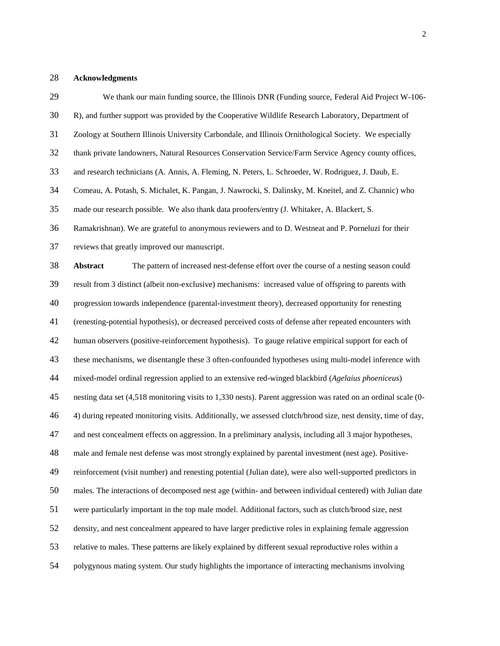## **Acknowledgments**

| 29 | We thank our main funding source, the Illinois DNR (Funding source, Federal Aid Project W-106-                 |
|----|----------------------------------------------------------------------------------------------------------------|
| 30 | R), and further support was provided by the Cooperative Wildlife Research Laboratory, Department of            |
| 31 | Zoology at Southern Illinois University Carbondale, and Illinois Ornithological Society. We especially         |
| 32 | thank private landowners, Natural Resources Conservation Service/Farm Service Agency county offices,           |
| 33 | and research technicians (A. Annis, A. Fleming, N. Peters, L. Schroeder, W. Rodriguez, J. Daub, E.             |
| 34 | Comeau, A. Potash, S. Michalet, K. Pangan, J. Nawrocki, S. Dalinsky, M. Kneitel, and Z. Channic) who           |
| 35 | made our research possible. We also thank data proofers/entry (J. Whitaker, A. Blackert, S.                    |
| 36 | Ramakrishnan). We are grateful to anonymous reviewers and to D. Westneat and P. Porneluzi for their            |
| 37 | reviews that greatly improved our manuscript.                                                                  |
| 38 | The pattern of increased nest-defense effort over the course of a nesting season could<br>Abstract             |
| 39 | result from 3 distinct (albeit non-exclusive) mechanisms: increased value of offspring to parents with         |
| 40 | progression towards independence (parental-investment theory), decreased opportunity for renesting             |
| 41 | (renesting-potential hypothesis), or decreased perceived costs of defense after repeated encounters with       |
| 42 | human observers (positive-reinforcement hypothesis). To gauge relative empirical support for each of           |
| 43 | these mechanisms, we disentangle these 3 often-confounded hypotheses using multi-model inference with          |
| 44 | mixed-model ordinal regression applied to an extensive red-winged blackbird (Agelaius phoeniceus)              |
| 45 | nesting data set (4,518 monitoring visits to 1,330 nests). Parent aggression was rated on an ordinal scale (0- |
| 46 | 4) during repeated monitoring visits. Additionally, we assessed clutch/brood size, nest density, time of day,  |
| 47 | and nest concealment effects on aggression. In a preliminary analysis, including all 3 major hypotheses,       |
| 48 | male and female nest defense was most strongly explained by parental investment (nest age). Positive-          |
| 49 | reinforcement (visit number) and renesting potential (Julian date), were also well-supported predictors in     |
| 50 | males. The interactions of decomposed nest age (within- and between individual centered) with Julian date      |
| 51 | were particularly important in the top male model. Additional factors, such as clutch/brood size, nest         |
| 52 | density, and nest concealment appeared to have larger predictive roles in explaining female aggression         |
| 53 | relative to males. These patterns are likely explained by different sexual reproductive roles within a         |
| 54 | polygynous mating system. Our study highlights the importance of interacting mechanisms involving              |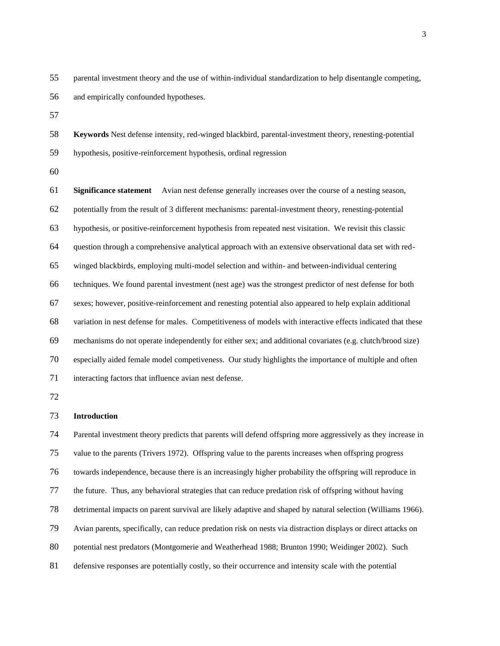parental investment theory and the use of within-individual standardization to help disentangle competing, and empirically confounded hypotheses.

 **Keywords** Nest defense intensity, red-winged blackbird, parental-investment theory, renesting-potential hypothesis, positive-reinforcement hypothesis, ordinal regression

 **Significance statement** Avian nest defense generally increases over the course of a nesting season, potentially from the result of 3 different mechanisms: parental-investment theory, renesting-potential hypothesis, or positive-reinforcement hypothesis from repeated nest visitation. We revisit this classic question through a comprehensive analytical approach with an extensive observational data set with red- winged blackbirds, employing multi-model selection and within- and between-individual centering techniques. We found parental investment (nest age) was the strongest predictor of nest defense for both sexes; however, positive-reinforcement and renesting potential also appeared to help explain additional variation in nest defense for males. Competitiveness of models with interactive effects indicated that these mechanisms do not operate independently for either sex; and additional covariates (e.g. clutch/brood size) especially aided female model competiveness. Our study highlights the importance of multiple and often interacting factors that influence avian nest defense.

### **Introduction**

 Parental investment theory predicts that parents will defend offspring more aggressively as they increase in value to the parents (Trivers 1972). Offspring value to the parents increases when offspring progress towards independence, because there is an increasingly higher probability the offspring will reproduce in the future. Thus, any behavioral strategies that can reduce predation risk of offspring without having detrimental impacts on parent survival are likely adaptive and shaped by natural selection (Williams 1966). Avian parents, specifically, can reduce predation risk on nests via distraction displays or direct attacks on potential nest predators (Montgomerie and Weatherhead 1988; Brunton 1990; Weidinger 2002). Such defensive responses are potentially costly, so their occurrence and intensity scale with the potential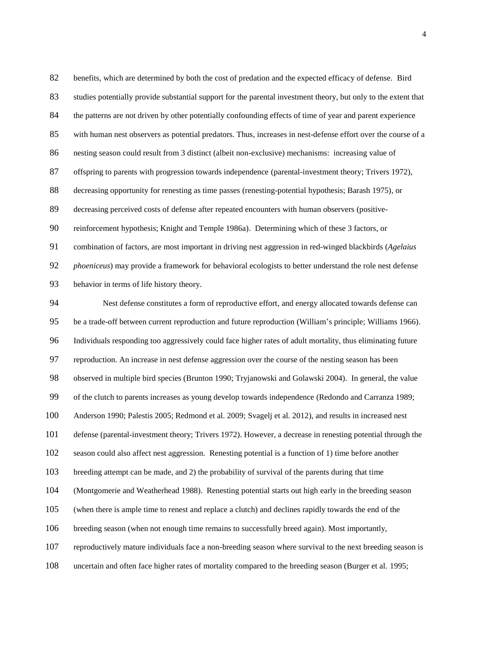benefits, which are determined by both the cost of predation and the expected efficacy of defense. Bird studies potentially provide substantial support for the parental investment theory, but only to the extent that 84 the patterns are not driven by other potentially confounding effects of time of year and parent experience with human nest observers as potential predators. Thus, increases in nest-defense effort over the course of a nesting season could result from 3 distinct (albeit non-exclusive) mechanisms: increasing value of offspring to parents with progression towards independence (parental-investment theory; Trivers 1972), decreasing opportunity for renesting as time passes (renesting-potential hypothesis; Barash 1975), or decreasing perceived costs of defense after repeated encounters with human observers (positive- reinforcement hypothesis; Knight and Temple 1986a). Determining which of these 3 factors, or combination of factors, are most important in driving nest aggression in red-winged blackbirds (*Agelaius phoeniceus*) may provide a framework for behavioral ecologists to better understand the role nest defense behavior in terms of life history theory.

 Nest defense constitutes a form of reproductive effort, and energy allocated towards defense can be a trade-off between current reproduction and future reproduction (William's principle; Williams 1966). Individuals responding too aggressively could face higher rates of adult mortality, thus eliminating future reproduction. An increase in nest defense aggression over the course of the nesting season has been observed in multiple bird species (Brunton 1990; Tryjanowski and Golawski 2004). In general, the value of the clutch to parents increases as young develop towards independence (Redondo and Carranza 1989; Anderson 1990; Palestis 2005; Redmond et al. 2009; Svagelj et al. 2012), and results in increased nest defense (parental-investment theory; Trivers 1972). However, a decrease in renesting potential through the season could also affect nest aggression. Renesting potential is a function of 1) time before another breeding attempt can be made, and 2) the probability of survival of the parents during that time (Montgomerie and Weatherhead 1988). Renesting potential starts out high early in the breeding season (when there is ample time to renest and replace a clutch) and declines rapidly towards the end of the breeding season (when not enough time remains to successfully breed again). Most importantly, reproductively mature individuals face a non-breeding season where survival to the next breeding season is uncertain and often face higher rates of mortality compared to the breeding season (Burger et al. 1995;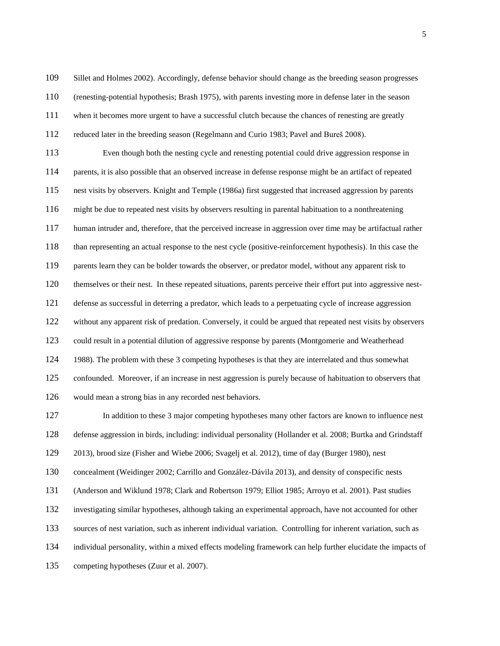Sillet and Holmes 2002). Accordingly, defense behavior should change as the breeding season progresses

(renesting-potential hypothesis; Brash 1975), with parents investing more in defense later in the season

when it becomes more urgent to have a successful clutch because the chances of renesting are greatly

reduced later in the breeding season (Regelmann and Curio 1983; Pavel and Bureš 2008).

 Even though both the nesting cycle and renesting potential could drive aggression response in parents, it is also possible that an observed increase in defense response might be an artifact of repeated nest visits by observers. Knight and Temple (1986a) first suggested that increased aggression by parents might be due to repeated nest visits by observers resulting in parental habituation to a nonthreatening human intruder and, therefore, that the perceived increase in aggression over time may be artifactual rather than representing an actual response to the nest cycle (positive-reinforcement hypothesis). In this case the parents learn they can be bolder towards the observer, or predator model, without any apparent risk to themselves or their nest. In these repeated situations, parents perceive their effort put into aggressive nest- defense as successful in deterring a predator, which leads to a perpetuating cycle of increase aggression without any apparent risk of predation. Conversely, it could be argued that repeated nest visits by observers could result in a potential dilution of aggressive response by parents (Montgomerie and Weatherhead 1988). The problem with these 3 competing hypotheses is that they are interrelated and thus somewhat confounded. Moreover, if an increase in nest aggression is purely because of habituation to observers that would mean a strong bias in any recorded nest behaviors.

 In addition to these 3 major competing hypotheses many other factors are known to influence nest defense aggression in birds, including: individual personality (Hollander et al. 2008; Burtka and Grindstaff

2013), brood size (Fisher and Wiebe 2006; Svagelj et al. 2012), time of day (Burger 1980), nest

concealment (Weidinger 2002; Carrillo and González-Dávila 2013), and density of conspecific nests

(Anderson and Wiklund 1978; Clark and Robertson 1979; Elliot 1985; Arroyo et al. 2001). Past studies

investigating similar hypotheses, although taking an experimental approach, have not accounted for other

sources of nest variation, such as inherent individual variation. Controlling for inherent variation, such as

individual personality, within a mixed effects modeling framework can help further elucidate the impacts of

competing hypotheses (Zuur et al. 2007).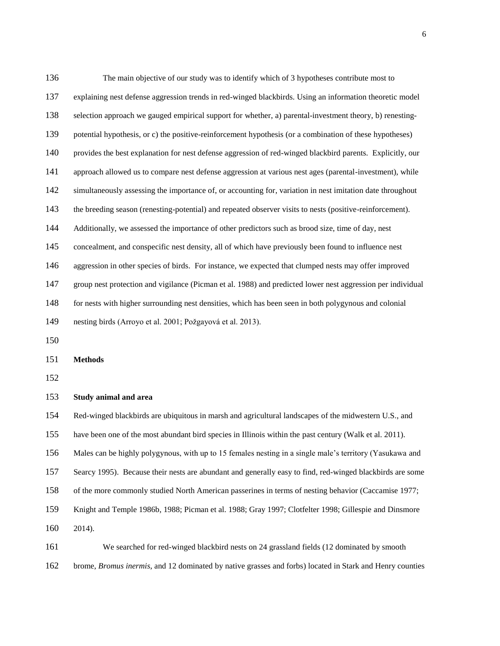The main objective of our study was to identify which of 3 hypotheses contribute most to explaining nest defense aggression trends in red-winged blackbirds. Using an information theoretic model selection approach we gauged empirical support for whether, a) parental-investment theory, b) renesting- potential hypothesis, or c) the positive-reinforcement hypothesis (or a combination of these hypotheses) provides the best explanation for nest defense aggression of red-winged blackbird parents. Explicitly, our approach allowed us to compare nest defense aggression at various nest ages (parental-investment), while simultaneously assessing the importance of, or accounting for, variation in nest imitation date throughout the breeding season (renesting-potential) and repeated observer visits to nests (positive-reinforcement). Additionally, we assessed the importance of other predictors such as brood size, time of day, nest concealment, and conspecific nest density, all of which have previously been found to influence nest aggression in other species of birds. For instance, we expected that clumped nests may offer improved group nest protection and vigilance (Picman et al. 1988) and predicted lower nest aggression per individual for nests with higher surrounding nest densities, which has been seen in both polygynous and colonial nesting birds (Arroyo et al. 2001; Požgayová et al. 2013). 

**Methods**

#### **Study animal and area**

Red-winged blackbirds are ubiquitous in marsh and agricultural landscapes of the midwestern U.S., and

have been one of the most abundant bird species in Illinois within the past century (Walk et al. 2011).

Males can be highly polygynous, with up to 15 females nesting in a single male's territory (Yasukawa and

Searcy 1995). Because their nests are abundant and generally easy to find, red-winged blackbirds are some

of the more commonly studied North American passerines in terms of nesting behavior (Caccamise 1977;

Knight and Temple 1986b, 1988; Picman et al. 1988; Gray 1997; Clotfelter 1998; Gillespie and Dinsmore

2014).

 We searched for red-winged blackbird nests on 24 grassland fields (12 dominated by smooth brome, *Bromus inermis*, and 12 dominated by native grasses and forbs) located in Stark and Henry counties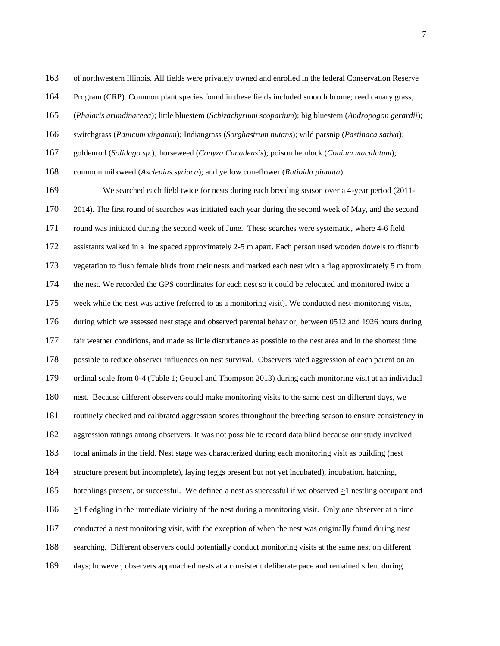of northwestern Illinois. All fields were privately owned and enrolled in the federal Conservation Reserve

Program (CRP). Common plant species found in these fields included smooth brome; reed canary grass,

(*Phalaris arundinaceea*); little bluestem (*Schizachyrium scoparium*); big bluestem (*Andropogon gerardii*);

switchgrass (*Panicum virgatum*); Indiangrass (*Sorghastrum nutans*); wild parsnip (*Pastinaca sativa*);

goldenrod (*Solidago sp*.)*;* horseweed (*Conyza Canadensis*); poison hemlock (*Conium maculatum*);

common milkweed (*Asclepias syriaca*); and yellow coneflower (*Ratibida pinnata*).

 We searched each field twice for nests during each breeding season over a 4-year period (2011- 2014). The first round of searches was initiated each year during the second week of May, and the second round was initiated during the second week of June. These searches were systematic, where 4-6 field assistants walked in a line spaced approximately 2-5 m apart. Each person used wooden dowels to disturb vegetation to flush female birds from their nests and marked each nest with a flag approximately 5 m from the nest. We recorded the GPS coordinates for each nest so it could be relocated and monitored twice a week while the nest was active (referred to as a monitoring visit). We conducted nest-monitoring visits, during which we assessed nest stage and observed parental behavior, between 0512 and 1926 hours during fair weather conditions, and made as little disturbance as possible to the nest area and in the shortest time possible to reduce observer influences on nest survival. Observers rated aggression of each parent on an ordinal scale from 0-4 (Table 1; Geupel and Thompson 2013) during each monitoring visit at an individual nest. Because different observers could make monitoring visits to the same nest on different days, we routinely checked and calibrated aggression scores throughout the breeding season to ensure consistency in aggression ratings among observers. It was not possible to record data blind because our study involved focal animals in the field. Nest stage was characterized during each monitoring visit as building (nest structure present but incomplete), laying (eggs present but not yet incubated), incubation, hatching, hatchlings present, or successful. We defined a nest as successful if we observed >1 nestling occupant and  $\geq$ 1 fledgling in the immediate vicinity of the nest during a monitoring visit. Only one observer at a time conducted a nest monitoring visit, with the exception of when the nest was originally found during nest searching. Different observers could potentially conduct monitoring visits at the same nest on different days; however, observers approached nests at a consistent deliberate pace and remained silent during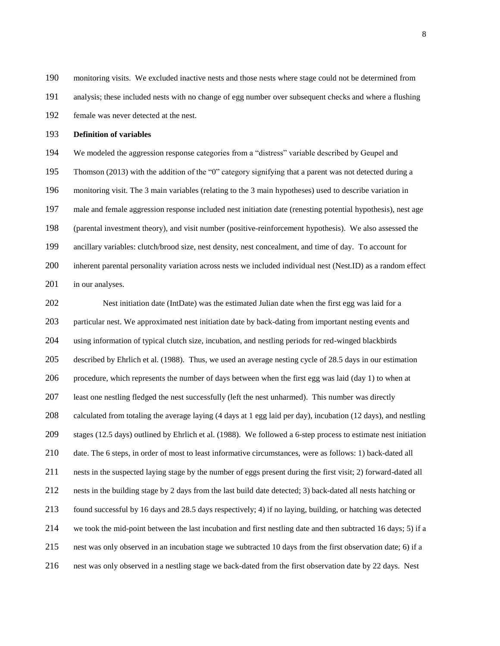monitoring visits. We excluded inactive nests and those nests where stage could not be determined from analysis; these included nests with no change of egg number over subsequent checks and where a flushing female was never detected at the nest.

#### **Definition of variables**

 We modeled the aggression response categories from a "distress" variable described by Geupel and Thomson (2013) with the addition of the "0" category signifying that a parent was not detected during a monitoring visit. The 3 main variables (relating to the 3 main hypotheses) used to describe variation in male and female aggression response included nest initiation date (renesting potential hypothesis), nest age (parental investment theory), and visit number (positive-reinforcement hypothesis). We also assessed the ancillary variables: clutch/brood size, nest density, nest concealment, and time of day. To account for inherent parental personality variation across nests we included individual nest (Nest.ID) as a random effect 201 in our analyses.

 Nest initiation date (IntDate) was the estimated Julian date when the first egg was laid for a particular nest. We approximated nest initiation date by back-dating from important nesting events and using information of typical clutch size, incubation, and nestling periods for red-winged blackbirds described by Ehrlich et al. (1988). Thus, we used an average nesting cycle of 28.5 days in our estimation procedure, which represents the number of days between when the first egg was laid (day 1) to when at least one nestling fledged the nest successfully (left the nest unharmed). This number was directly calculated from totaling the average laying (4 days at 1 egg laid per day), incubation (12 days), and nestling stages (12.5 days) outlined by Ehrlich et al. (1988). We followed a 6-step process to estimate nest initiation date. The 6 steps, in order of most to least informative circumstances, were as follows: 1) back-dated all nests in the suspected laying stage by the number of eggs present during the first visit; 2) forward-dated all nests in the building stage by 2 days from the last build date detected; 3) back-dated all nests hatching or found successful by 16 days and 28.5 days respectively; 4) if no laying, building, or hatching was detected we took the mid-point between the last incubation and first nestling date and then subtracted 16 days; 5) if a nest was only observed in an incubation stage we subtracted 10 days from the first observation date; 6) if a nest was only observed in a nestling stage we back-dated from the first observation date by 22 days. Nest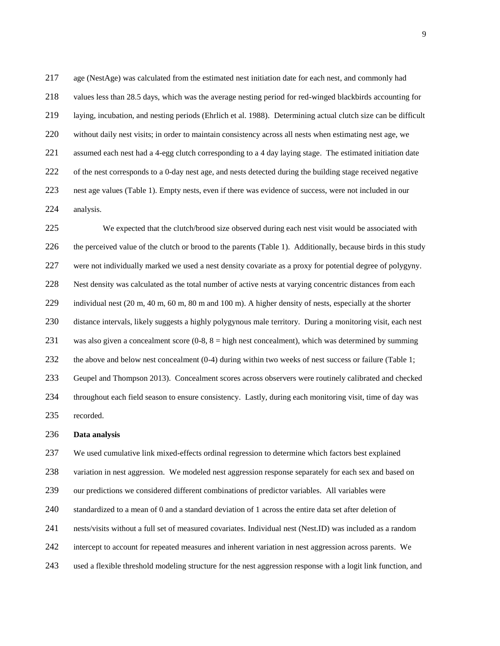age (NestAge) was calculated from the estimated nest initiation date for each nest, and commonly had values less than 28.5 days, which was the average nesting period for red-winged blackbirds accounting for laying, incubation, and nesting periods (Ehrlich et al. 1988). Determining actual clutch size can be difficult without daily nest visits; in order to maintain consistency across all nests when estimating nest age, we assumed each nest had a 4-egg clutch corresponding to a 4 day laying stage. The estimated initiation date 222 of the nest corresponds to a 0-day nest age, and nests detected during the building stage received negative nest age values (Table 1). Empty nests, even if there was evidence of success, were not included in our analysis.

 We expected that the clutch/brood size observed during each nest visit would be associated with 226 the perceived value of the clutch or brood to the parents (Table 1). Additionally, because birds in this study were not individually marked we used a nest density covariate as a proxy for potential degree of polygyny. Nest density was calculated as the total number of active nests at varying concentric distances from each 229 individual nest (20 m, 40 m, 60 m, 80 m and 100 m). A higher density of nests, especially at the shorter distance intervals, likely suggests a highly polygynous male territory. During a monitoring visit, each nest was also given a concealment score (0-8, 8 = high nest concealment), which was determined by summing 232 the above and below nest concealment (0-4) during within two weeks of nest success or failure (Table 1; Geupel and Thompson 2013). Concealment scores across observers were routinely calibrated and checked throughout each field season to ensure consistency. Lastly, during each monitoring visit, time of day was recorded.

#### **Data analysis**

We used cumulative link mixed-effects ordinal regression to determine which factors best explained

variation in nest aggression. We modeled nest aggression response separately for each sex and based on

our predictions we considered different combinations of predictor variables. All variables were

standardized to a mean of 0 and a standard deviation of 1 across the entire data set after deletion of

- nests/visits without a full set of measured covariates. Individual nest (Nest.ID) was included as a random
- intercept to account for repeated measures and inherent variation in nest aggression across parents. We
- used a flexible threshold modeling structure for the nest aggression response with a logit link function, and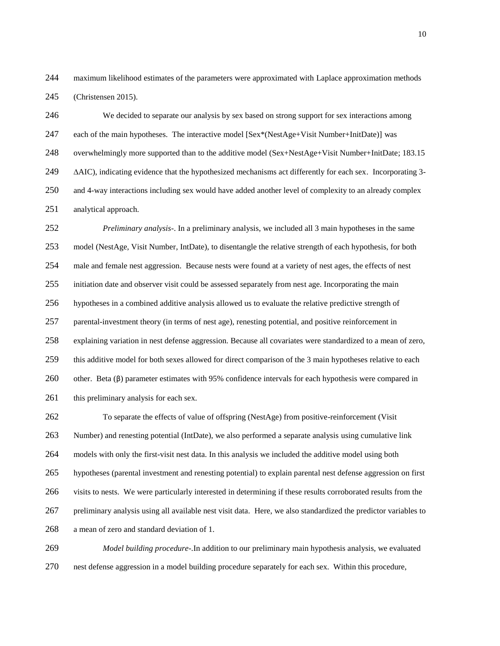maximum likelihood estimates of the parameters were approximated with Laplace approximation methods (Christensen 2015).

 We decided to separate our analysis by sex based on strong support for sex interactions among each of the main hypotheses. The interactive model [Sex\*(NestAge+Visit Number+InitDate)] was overwhelmingly more supported than to the additive model (Sex+NestAge+Visit Number+InitDate; 183.15 ∆AIC), indicating evidence that the hypothesized mechanisms act differently for each sex. Incorporating 3- and 4-way interactions including sex would have added another level of complexity to an already complex analytical approach.

 *Preliminary analysis*-. In a preliminary analysis, we included all 3 main hypotheses in the same model (NestAge, Visit Number, IntDate), to disentangle the relative strength of each hypothesis, for both male and female nest aggression. Because nests were found at a variety of nest ages, the effects of nest initiation date and observer visit could be assessed separately from nest age. Incorporating the main hypotheses in a combined additive analysis allowed us to evaluate the relative predictive strength of parental-investment theory (in terms of nest age), renesting potential, and positive reinforcement in explaining variation in nest defense aggression. Because all covariates were standardized to a mean of zero, this additive model for both sexes allowed for direct comparison of the 3 main hypotheses relative to each other. Beta (β) parameter estimates with 95% confidence intervals for each hypothesis were compared in 261 this preliminary analysis for each sex.

 To separate the effects of value of offspring (NestAge) from positive-reinforcement (Visit Number) and renesting potential (IntDate), we also performed a separate analysis using cumulative link models with only the first-visit nest data. In this analysis we included the additive model using both hypotheses (parental investment and renesting potential) to explain parental nest defense aggression on first visits to nests. We were particularly interested in determining if these results corroborated results from the preliminary analysis using all available nest visit data. Here, we also standardized the predictor variables to a mean of zero and standard deviation of 1.

 *Model building procedure*-.In addition to our preliminary main hypothesis analysis, we evaluated nest defense aggression in a model building procedure separately for each sex. Within this procedure,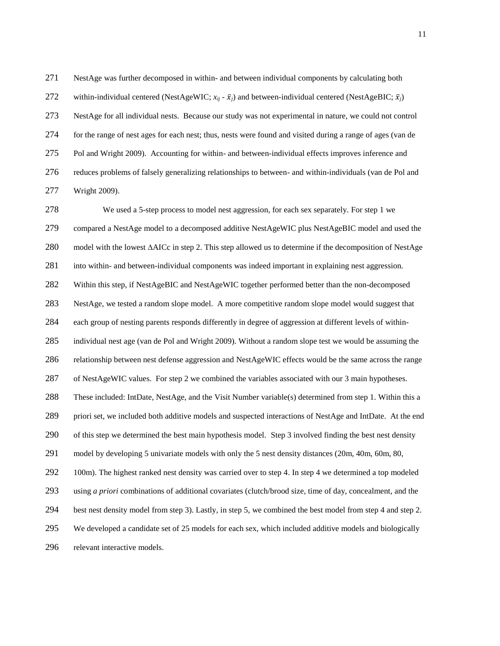NestAge was further decomposed in within- and between individual components by calculating both 272 within-individual centered (NestAgeWIC;  $x_{ii}$  -  $\bar{x}_i$ ) and between-individual centered (NestAgeBIC;  $\bar{x}_i$ ) NestAge for all individual nests. Because our study was not experimental in nature, we could not control for the range of nest ages for each nest; thus, nests were found and visited during a range of ages (van de Pol and Wright 2009). Accounting for within- and between-individual effects improves inference and reduces problems of falsely generalizing relationships to between- and within-individuals (van de Pol and Wright 2009).

 We used a 5-step process to model nest aggression, for each sex separately. For step 1 we compared a NestAge model to a decomposed additive NestAgeWIC plus NestAgeBIC model and used the model with the lowest ∆AICc in step 2. This step allowed us to determine if the decomposition of NestAge into within- and between-individual components was indeed important in explaining nest aggression. Within this step, if NestAgeBIC and NestAgeWIC together performed better than the non-decomposed NestAge, we tested a random slope model. A more competitive random slope model would suggest that each group of nesting parents responds differently in degree of aggression at different levels of within- individual nest age (van de Pol and Wright 2009). Without a random slope test we would be assuming the relationship between nest defense aggression and NestAgeWIC effects would be the same across the range of NestAgeWIC values. For step 2 we combined the variables associated with our 3 main hypotheses. These included: IntDate, NestAge, and the Visit Number variable(s) determined from step 1. Within this a priori set, we included both additive models and suspected interactions of NestAge and IntDate. At the end of this step we determined the best main hypothesis model. Step 3 involved finding the best nest density model by developing 5 univariate models with only the 5 nest density distances (20m, 40m, 60m, 80, 292 100m). The highest ranked nest density was carried over to step 4. In step 4 we determined a top modeled using *a priori* combinations of additional covariates (clutch/brood size, time of day, concealment, and the best nest density model from step 3). Lastly, in step 5, we combined the best model from step 4 and step 2. We developed a candidate set of 25 models for each sex, which included additive models and biologically relevant interactive models.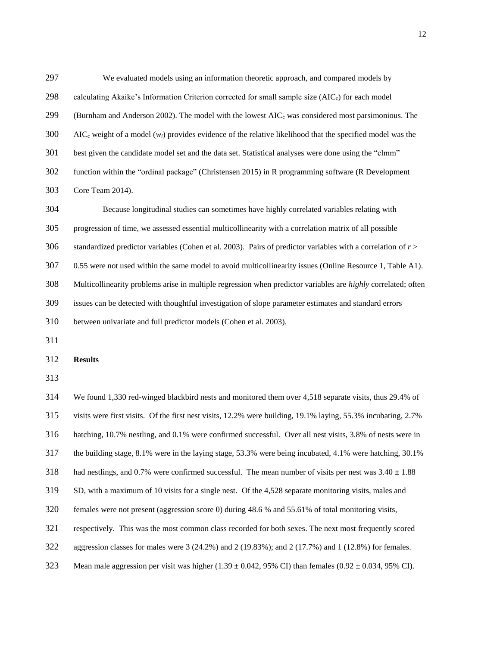| 297 | We evaluated models using an information theoretic approach, and compared models by                                      |
|-----|--------------------------------------------------------------------------------------------------------------------------|
| 298 | calculating Akaike's Information Criterion corrected for small sample size (AIC <sub>c</sub> ) for each model            |
| 299 | (Burnham and Anderson 2002). The model with the lowest $AIC_c$ was considered most parsimonious. The                     |
| 300 | AIC <sub>c</sub> weight of a model $(w_i)$ provides evidence of the relative likelihood that the specified model was the |
| 301 | best given the candidate model set and the data set. Statistical analyses were done using the "clmm"                     |
| 302 | function within the "ordinal package" (Christensen 2015) in R programming software (R Development                        |
| 303 | Core Team 2014).                                                                                                         |
| 304 | Because longitudinal studies can sometimes have highly correlated variables relating with                                |
| 305 | progression of time, we assessed essential multicollinearity with a correlation matrix of all possible                   |
| 306 | standardized predictor variables (Cohen et al. 2003). Pairs of predictor variables with a correlation of $r$             |
| 307 | 0.55 were not used within the same model to avoid multicollinearity issues (Online Resource 1, Table A1).                |
| 308 | Multicollinearity problems arise in multiple regression when predictor variables are highly correlated; often            |
| 309 | issues can be detected with thoughtful investigation of slope parameter estimates and standard errors                    |
| 310 | between univariate and full predictor models (Cohen et al. 2003).                                                        |
|     |                                                                                                                          |

**Results**

 We found 1,330 red-winged blackbird nests and monitored them over 4,518 separate visits, thus 29.4% of visits were first visits. Of the first nest visits, 12.2% were building, 19.1% laying, 55.3% incubating, 2.7% hatching, 10.7% nestling, and 0.1% were confirmed successful. Over all nest visits, 3.8% of nests were in the building stage, 8.1% were in the laying stage, 53.3% were being incubated, 4.1% were hatching, 30.1% 318 had nestlings, and 0.7% were confirmed successful. The mean number of visits per nest was  $3.40 \pm 1.88$  SD, with a maximum of 10 visits for a single nest. Of the 4,528 separate monitoring visits, males and females were not present (aggression score 0) during 48.6 % and 55.61% of total monitoring visits, respectively. This was the most common class recorded for both sexes. The next most frequently scored aggression classes for males were 3 (24.2%) and 2 (19.83%); and 2 (17.7%) and 1 (12.8%) for females. 323 Mean male aggression per visit was higher  $(1.39 \pm 0.042, 95\% \text{ CI})$  than females  $(0.92 \pm 0.034, 95\% \text{ CI})$ .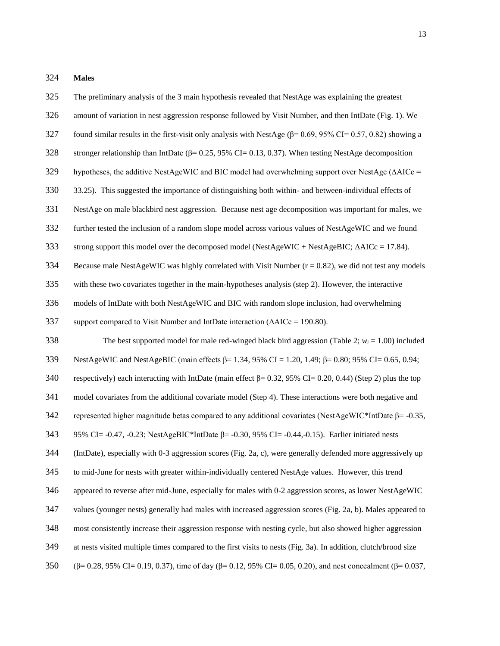**Males**

amount of variation in nest aggression response followed by Visit Number, and then IntDate (Fig. 1). We

The preliminary analysis of the 3 main hypothesis revealed that NestAge was explaining the greatest

found similar results in the first-visit only analysis with NestAge (β= 0.69, 95% CI= 0.57, 0.82) showing a

328 stronger relationship than IntDate ( $\beta$ = 0.25, 95% CI= 0.13, 0.37). When testing NestAge decomposition

hypotheses, the additive NestAgeWIC and BIC model had overwhelming support over NestAge (∆AICc =

33.25). This suggested the importance of distinguishing both within- and between-individual effects of

NestAge on male blackbird nest aggression. Because nest age decomposition was important for males, we

- further tested the inclusion of a random slope model across various values of NestAgeWIC and we found
- strong support this model over the decomposed model (NestAgeWIC + NestAgeBIC; ∆AICc = 17.84).

334 Because male NestAgeWIC was highly correlated with Visit Number  $(r = 0.82)$ , we did not test any models

with these two covariates together in the main-hypotheses analysis (step 2). However, the interactive

models of IntDate with both NestAgeWIC and BIC with random slope inclusion, had overwhelming

support compared to Visit Number and IntDate interaction (∆AICc = 190.80).

 The best supported model for male red-winged black bird aggression (Table 2; *w<sup>i</sup>* = 1.00) included NestAgeWIC and NestAgeBIC (main effects β= 1.34, 95% CI = 1.20, 1.49; β= 0.80; 95% CI= 0.65, 0.94; 340 respectively) each interacting with IntDate (main effect  $\beta$ = 0.32, 95% CI= 0.20, 0.44) (Step 2) plus the top model covariates from the additional covariate model (Step 4). These interactions were both negative and 342 represented higher magnitude betas compared to any additional covariates (NestAgeWIC\*IntDate  $\beta$ = -0.35, 95% CI= -0.47, -0.23; NestAgeBIC\*IntDate β= -0.30, 95% CI= -0.44,-0.15). Earlier initiated nests (IntDate), especially with 0-3 aggression scores (Fig. 2a, c), were generally defended more aggressively up to mid-June for nests with greater within-individually centered NestAge values. However, this trend appeared to reverse after mid-June, especially for males with 0-2 aggression scores, as lower NestAgeWIC values (younger nests) generally had males with increased aggression scores (Fig. 2a, b). Males appeared to most consistently increase their aggression response with nesting cycle, but also showed higher aggression at nests visited multiple times compared to the first visits to nests (Fig. 3a). In addition, clutch/brood size (β= 0.28, 95% CI= 0.19, 0.37), time of day (β= 0.12, 95% CI= 0.05, 0.20), and nest concealment (β= 0.037,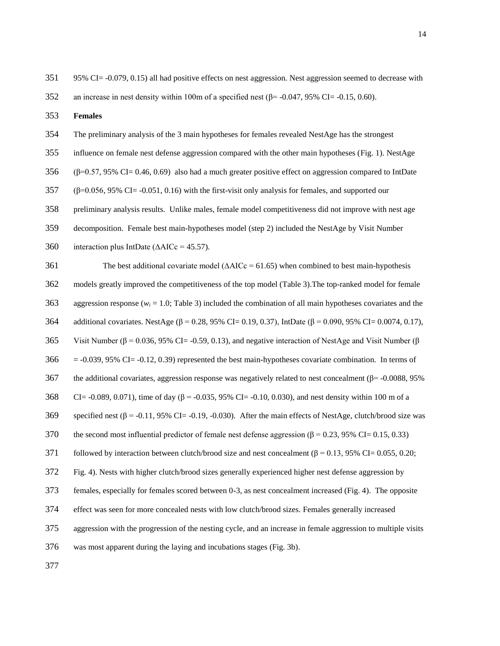95% CI= -0.079, 0.15) all had positive effects on nest aggression. Nest aggression seemed to decrease with

352 an increase in nest density within 100m of a specified nest  $(\beta = -0.047, 95\% \text{ CI} = -0.15, 0.60)$ .

**Females**

The preliminary analysis of the 3 main hypotheses for females revealed NestAge has the strongest

influence on female nest defense aggression compared with the other main hypotheses (Fig. 1). NestAge

(β=0.57, 95% CI= 0.46, 0.69) also had a much greater positive effect on aggression compared to IntDate

(β=0.056, 95% CI= -0.051, 0.16) with the first-visit only analysis for females, and supported our

preliminary analysis results. Unlike males, female model competitiveness did not improve with nest age

decomposition. Female best main-hypotheses model (step 2) included the NestAge by Visit Number

interaction plus IntDate (∆AICc = 45.57).

 The best additional covariate model (∆AICc = 61.65) when combined to best main-hypothesis models greatly improved the competitiveness of the top model (Table 3).The top-ranked model for female 363 aggression response ( $w_i$  = 1.0; Table 3) included the combination of all main hypotheses covariates and the additional covariates. NestAge (β = 0.28, 95% CI= 0.19, 0.37), IntDate (β = 0.090, 95% CI= 0.0074, 0.17), 365 Visit Number ( $\beta$  = 0.036, 95% CI= -0.59, 0.13), and negative interaction of NestAge and Visit Number ( $\beta$  = -0.039, 95% CI= -0.12, 0.39) represented the best main-hypotheses covariate combination. In terms of 367 the additional covariates, aggression response was negatively related to nest concealment ( $\beta$ = -0.0088, 95%) 368 CI= -0.089, 0.071), time of day ( $\beta$  = -0.035, 95% CI= -0.10, 0.030), and nest density within 100 m of a 369 specified nest  $(\beta = -0.11, 95\% \text{ CI} = -0.19, -0.030)$ . After the main effects of NestAge, clutch/brood size was 370 the second most influential predictor of female nest defense aggression ( $\beta$  = 0.23, 95% CI= 0.15, 0.33) 371 followed by interaction between clutch/brood size and nest concealment ( $\beta$  = 0.13, 95% CI= 0.055, 0.20; Fig. 4). Nests with higher clutch/brood sizes generally experienced higher nest defense aggression by females, especially for females scored between 0-3, as nest concealment increased (Fig. 4). The opposite effect was seen for more concealed nests with low clutch/brood sizes. Females generally increased aggression with the progression of the nesting cycle, and an increase in female aggression to multiple visits was most apparent during the laying and incubations stages (Fig. 3b).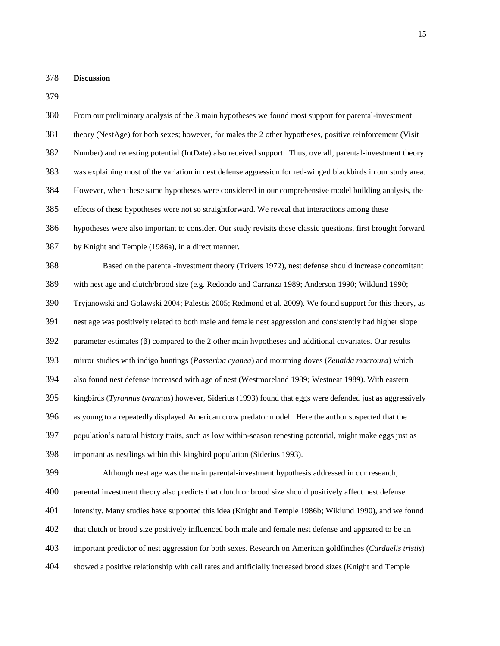**Discussion**

 From our preliminary analysis of the 3 main hypotheses we found most support for parental-investment theory (NestAge) for both sexes; however, for males the 2 other hypotheses, positive reinforcement (Visit Number) and renesting potential (IntDate) also received support. Thus, overall, parental-investment theory was explaining most of the variation in nest defense aggression for red-winged blackbirds in our study area. However, when these same hypotheses were considered in our comprehensive model building analysis, the effects of these hypotheses were not so straightforward. We reveal that interactions among these hypotheses were also important to consider. Our study revisits these classic questions, first brought forward by Knight and Temple (1986a), in a direct manner. Based on the parental-investment theory (Trivers 1972), nest defense should increase concomitant with nest age and clutch/brood size (e.g. Redondo and Carranza 1989; Anderson 1990; Wiklund 1990; Tryjanowski and Golawski 2004; Palestis 2005; Redmond et al. 2009). We found support for this theory, as nest age was positively related to both male and female nest aggression and consistently had higher slope parameter estimates (β) compared to the 2 other main hypotheses and additional covariates. Our results mirror studies with indigo buntings (*Passerina cyanea*) and mourning doves (*Zenaida macroura*) which also found nest defense increased with age of nest (Westmoreland 1989; Westneat 1989). With eastern kingbirds (*Tyrannus tyrannus*) however, Siderius (1993) found that eggs were defended just as aggressively as young to a repeatedly displayed American crow predator model. Here the author suspected that the population's natural history traits, such as low within-season renesting potential, might make eggs just as important as nestlings within this kingbird population (Siderius 1993). Although nest age was the main parental-investment hypothesis addressed in our research, parental investment theory also predicts that clutch or brood size should positively affect nest defense intensity. Many studies have supported this idea (Knight and Temple 1986b; Wiklund 1990), and we found that clutch or brood size positively influenced both male and female nest defense and appeared to be an important predictor of nest aggression for both sexes. Research on American goldfinches (*Carduelis tristis*) showed a positive relationship with call rates and artificially increased brood sizes (Knight and Temple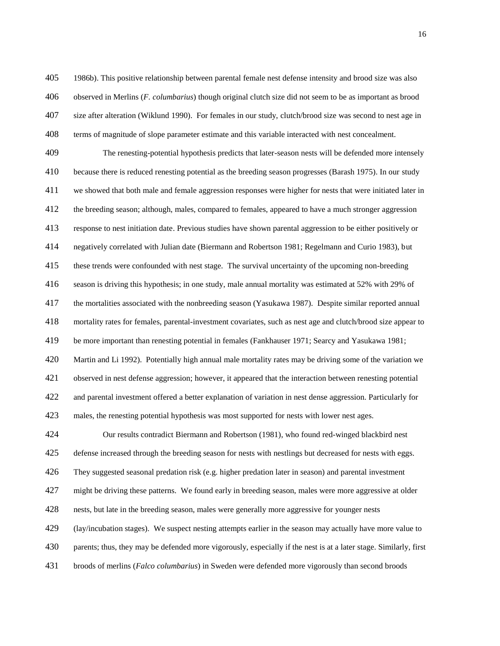1986b). This positive relationship between parental female nest defense intensity and brood size was also observed in Merlins (*F. columbarius*) though original clutch size did not seem to be as important as brood size after alteration (Wiklund 1990). For females in our study, clutch/brood size was second to nest age in terms of magnitude of slope parameter estimate and this variable interacted with nest concealment.

 The renesting-potential hypothesis predicts that later-season nests will be defended more intensely because there is reduced renesting potential as the breeding season progresses (Barash 1975). In our study we showed that both male and female aggression responses were higher for nests that were initiated later in the breeding season; although, males, compared to females, appeared to have a much stronger aggression response to nest initiation date. Previous studies have shown parental aggression to be either positively or negatively correlated with Julian date (Biermann and Robertson 1981; Regelmann and Curio 1983), but these trends were confounded with nest stage. The survival uncertainty of the upcoming non-breeding season is driving this hypothesis; in one study, male annual mortality was estimated at 52% with 29% of the mortalities associated with the nonbreeding season (Yasukawa 1987). Despite similar reported annual mortality rates for females, parental-investment covariates, such as nest age and clutch/brood size appear to be more important than renesting potential in females (Fankhauser 1971; Searcy and Yasukawa 1981; Martin and Li 1992). Potentially high annual male mortality rates may be driving some of the variation we observed in nest defense aggression; however, it appeared that the interaction between renesting potential and parental investment offered a better explanation of variation in nest dense aggression. Particularly for males, the renesting potential hypothesis was most supported for nests with lower nest ages.

 Our results contradict Biermann and Robertson (1981), who found red-winged blackbird nest defense increased through the breeding season for nests with nestlings but decreased for nests with eggs. They suggested seasonal predation risk (e.g. higher predation later in season) and parental investment might be driving these patterns. We found early in breeding season, males were more aggressive at older nests, but late in the breeding season, males were generally more aggressive for younger nests (lay/incubation stages). We suspect nesting attempts earlier in the season may actually have more value to parents; thus, they may be defended more vigorously, especially if the nest is at a later stage. Similarly, first broods of merlins (*Falco columbarius*) in Sweden were defended more vigorously than second broods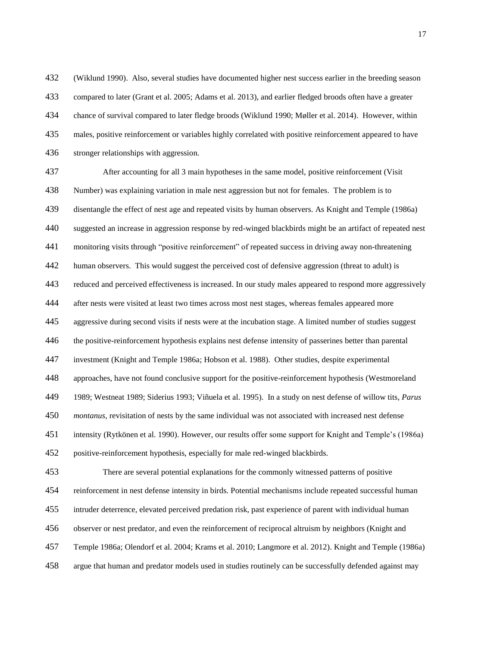(Wiklund 1990). Also, several studies have documented higher nest success earlier in the breeding season compared to later (Grant et al. 2005; Adams et al. 2013), and earlier fledged broods often have a greater chance of survival compared to later fledge broods (Wiklund 1990; Møller et al. 2014). However, within males, positive reinforcement or variables highly correlated with positive reinforcement appeared to have 436 stronger relationships with aggression.

 After accounting for all 3 main hypotheses in the same model, positive reinforcement (Visit Number) was explaining variation in male nest aggression but not for females. The problem is to disentangle the effect of nest age and repeated visits by human observers. As Knight and Temple (1986a) suggested an increase in aggression response by red-winged blackbirds might be an artifact of repeated nest monitoring visits through "positive reinforcement" of repeated success in driving away non-threatening human observers. This would suggest the perceived cost of defensive aggression (threat to adult) is reduced and perceived effectiveness is increased. In our study males appeared to respond more aggressively after nests were visited at least two times across most nest stages, whereas females appeared more aggressive during second visits if nests were at the incubation stage. A limited number of studies suggest the positive-reinforcement hypothesis explains nest defense intensity of passerines better than parental investment (Knight and Temple 1986a; Hobson et al. 1988). Other studies, despite experimental approaches, have not found conclusive support for the positive-reinforcement hypothesis (Westmoreland 1989; Westneat 1989; Siderius 1993; Viñuela et al. 1995). In a study on nest defense of willow tits, *Parus montanus*, revisitation of nests by the same individual was not associated with increased nest defense intensity (Rytkönen et al. 1990). However, our results offer some support for Knight and Temple's (1986a) positive-reinforcement hypothesis, especially for male red-winged blackbirds. There are several potential explanations for the commonly witnessed patterns of positive reinforcement in nest defense intensity in birds. Potential mechanisms include repeated successful human intruder deterrence, elevated perceived predation risk, past experience of parent with individual human observer or nest predator, and even the reinforcement of reciprocal altruism by neighbors (Knight and Temple 1986a; Olendorf et al. 2004; Krams et al. 2010; Langmore et al. 2012). Knight and Temple (1986a)

argue that human and predator models used in studies routinely can be successfully defended against may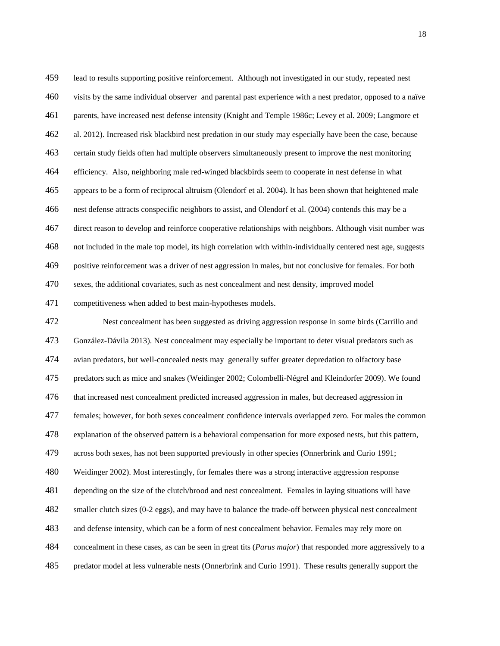lead to results supporting positive reinforcement. Although not investigated in our study, repeated nest visits by the same individual observer and parental past experience with a nest predator, opposed to a naïve parents, have increased nest defense intensity (Knight and Temple 1986c; Levey et al. 2009; Langmore et al. 2012). Increased risk blackbird nest predation in our study may especially have been the case, because certain study fields often had multiple observers simultaneously present to improve the nest monitoring efficiency. Also, neighboring male red-winged blackbirds seem to cooperate in nest defense in what appears to be a form of reciprocal altruism (Olendorf et al. 2004). It has been shown that heightened male nest defense attracts conspecific neighbors to assist, and Olendorf et al. (2004) contends this may be a direct reason to develop and reinforce cooperative relationships with neighbors. Although visit number was not included in the male top model, its high correlation with within-individually centered nest age, suggests positive reinforcement was a driver of nest aggression in males, but not conclusive for females. For both sexes, the additional covariates, such as nest concealment and nest density, improved model competitiveness when added to best main-hypotheses models. Nest concealment has been suggested as driving aggression response in some birds (Carrillo and

 González-Dávila 2013). Nest concealment may especially be important to deter visual predators such as avian predators, but well-concealed nests may generally suffer greater depredation to olfactory base predators such as mice and snakes (Weidinger 2002; Colombelli-Négrel and Kleindorfer 2009). We found that increased nest concealment predicted increased aggression in males, but decreased aggression in females; however, for both sexes concealment confidence intervals overlapped zero. For males the common explanation of the observed pattern is a behavioral compensation for more exposed nests, but this pattern, across both sexes, has not been supported previously in other species (Onnerbrink and Curio 1991; Weidinger 2002). Most interestingly, for females there was a strong interactive aggression response depending on the size of the clutch/brood and nest concealment. Females in laying situations will have smaller clutch sizes (0-2 eggs), and may have to balance the trade-off between physical nest concealment and defense intensity, which can be a form of nest concealment behavior. Females may rely more on concealment in these cases, as can be seen in great tits (*Parus major*) that responded more aggressively to a predator model at less vulnerable nests (Onnerbrink and Curio 1991). These results generally support the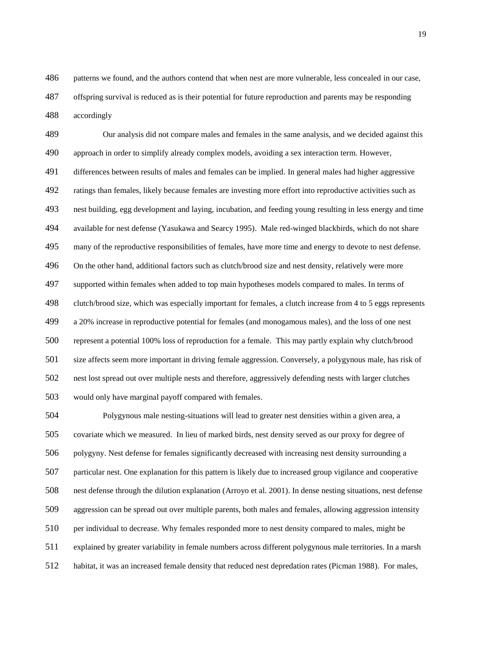patterns we found, and the authors contend that when nest are more vulnerable, less concealed in our case,

 offspring survival is reduced as is their potential for future reproduction and parents may be responding accordingly

 Our analysis did not compare males and females in the same analysis, and we decided against this approach in order to simplify already complex models, avoiding a sex interaction term. However, differences between results of males and females can be implied. In general males had higher aggressive ratings than females, likely because females are investing more effort into reproductive activities such as nest building, egg development and laying, incubation, and feeding young resulting in less energy and time available for nest defense (Yasukawa and Searcy 1995). Male red-winged blackbirds, which do not share many of the reproductive responsibilities of females, have more time and energy to devote to nest defense. 496 On the other hand, additional factors such as clutch/brood size and nest density, relatively were more supported within females when added to top main hypotheses models compared to males. In terms of clutch/brood size, which was especially important for females, a clutch increase from 4 to 5 eggs represents a 20% increase in reproductive potential for females (and monogamous males), and the loss of one nest represent a potential 100% loss of reproduction for a female. This may partly explain why clutch/brood size affects seem more important in driving female aggression. Conversely, a polygynous male, has risk of nest lost spread out over multiple nests and therefore, aggressively defending nests with larger clutches would only have marginal payoff compared with females.

 Polygynous male nesting-situations will lead to greater nest densities within a given area, a covariate which we measured. In lieu of marked birds, nest density served as our proxy for degree of polygyny. Nest defense for females significantly decreased with increasing nest density surrounding a particular nest. One explanation for this pattern is likely due to increased group vigilance and cooperative nest defense through the dilution explanation (Arroyo et al. 2001). In dense nesting situations, nest defense aggression can be spread out over multiple parents, both males and females, allowing aggression intensity per individual to decrease. Why females responded more to nest density compared to males, might be explained by greater variability in female numbers across different polygynous male territories. In a marsh habitat, it was an increased female density that reduced nest depredation rates (Picman 1988). For males,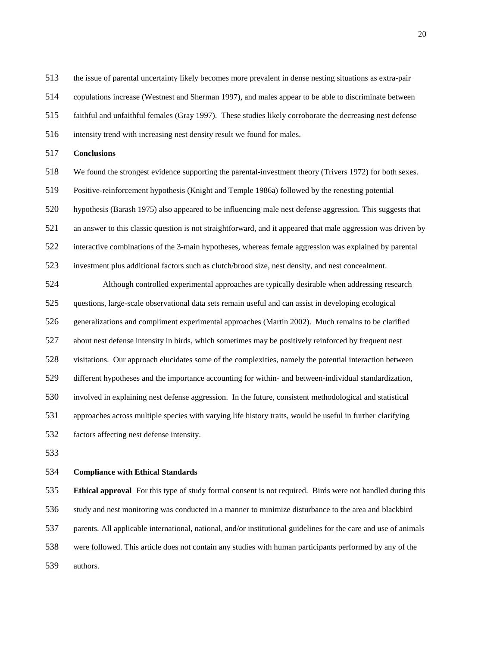the issue of parental uncertainty likely becomes more prevalent in dense nesting situations as extra-pair

copulations increase (Westnest and Sherman 1997), and males appear to be able to discriminate between

faithful and unfaithful females (Gray 1997). These studies likely corroborate the decreasing nest defense

- intensity trend with increasing nest density result we found for males.
- **Conclusions**
- We found the strongest evidence supporting the parental-investment theory (Trivers 1972) for both sexes.

Positive-reinforcement hypothesis (Knight and Temple 1986a) followed by the renesting potential

 hypothesis (Barash 1975) also appeared to be influencing male nest defense aggression. This suggests that an answer to this classic question is not straightforward, and it appeared that male aggression was driven by interactive combinations of the 3-main hypotheses, whereas female aggression was explained by parental

investment plus additional factors such as clutch/brood size, nest density, and nest concealment.

 Although controlled experimental approaches are typically desirable when addressing research questions, large-scale observational data sets remain useful and can assist in developing ecological generalizations and compliment experimental approaches (Martin 2002). Much remains to be clarified about nest defense intensity in birds, which sometimes may be positively reinforced by frequent nest visitations. Our approach elucidates some of the complexities, namely the potential interaction between different hypotheses and the importance accounting for within- and between-individual standardization, involved in explaining nest defense aggression. In the future, consistent methodological and statistical approaches across multiple species with varying life history traits, would be useful in further clarifying factors affecting nest defense intensity.

#### **Compliance with Ethical Standards**

 **Ethical approval** For this type of study formal consent is not required. Birds were not handled during this study and nest monitoring was conducted in a manner to minimize disturbance to the area and blackbird parents. All applicable international, national, and/or institutional guidelines for the care and use of animals were followed. This article does not contain any studies with human participants performed by any of the authors.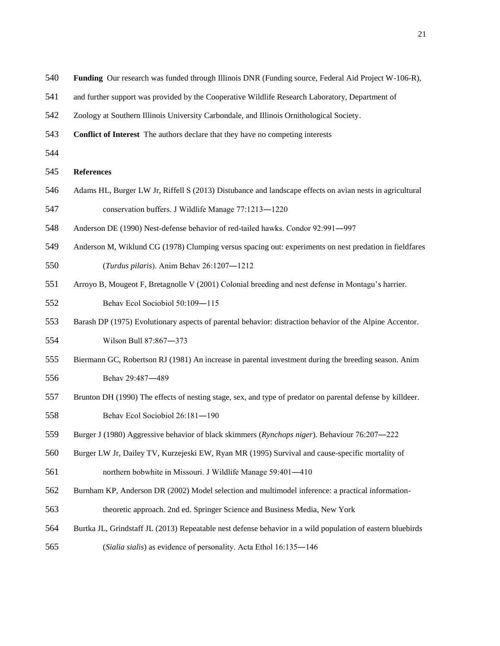- **Funding** Our research was funded through Illinois DNR (Funding source, Federal Aid Project W-106-R),
- and further support was provided by the Cooperative Wildlife Research Laboratory, Department of
- Zoology at Southern Illinois University Carbondale, and Illinois Ornithological Society.
- **Conflict of Interest** The authors declare that they have no competing interests
- 

#### **References**

- Adams HL, Burger LW Jr, Riffell S (2013) Distubance and landscape effects on avian nests in agricultural
- conservation buffers. J Wildlife Manage 77:1213―1220
- Anderson DE (1990) Nest-defense behavior of red-tailed hawks. Condor 92:991―997
- Anderson M, Wiklund CG (1978) Clumping versus spacing out: experiments on nest predation in fieldfares
- (*Turdus pilaris*). Anim Behav 26:1207―1212
- Arroyo B, Mougeot F, Bretagnolle V (2001) Colonial breeding and nest defense in Montagu's harrier.
- Behav Ecol Sociobiol 50:109―115
- Barash DP (1975) Evolutionary aspects of parental behavior: distraction behavior of the Alpine Accentor. Wilson Bull 87:867―373
- Biermann GC, Robertson RJ (1981) An increase in parental investment during the breeding season. Anim
- Behav 29:487―489
- Brunton DH (1990) The effects of nesting stage, sex, and type of predator on parental defense by killdeer.
- Behav Ecol Sociobiol 26:181―190
- Burger J (1980) Aggressive behavior of black skimmers (*Rynchops niger*). Behaviour 76:207―222
- Burger LW Jr, Dailey TV, Kurzejeski EW, Ryan MR (1995) Survival and cause-specific mortality of
- northern bobwhite in Missouri. J Wildlife Manage 59:401―410
- Burnham KP, Anderson DR (2002) Model selection and multimodel inference: a practical information-
- theoretic approach. 2nd ed. Springer Science and Business Media, New York
- Burtka JL, Grindstaff JL (2013) Repeatable nest defense behavior in a wild population of eastern bluebirds
- (*Sialia sialis*) as evidence of personality. Acta Ethol 16:135―146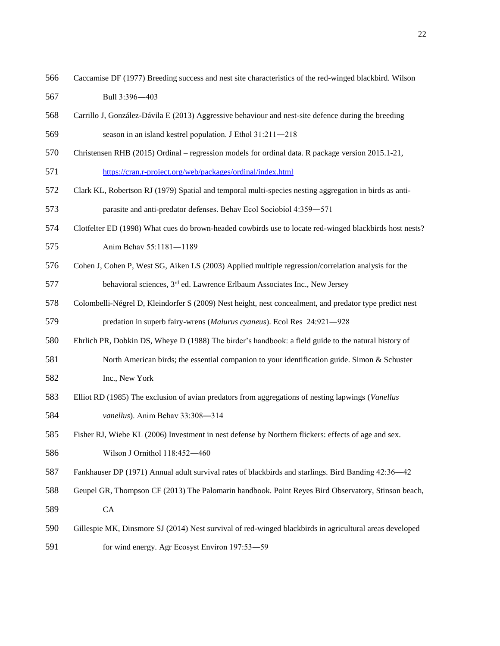Caccamise DF (1977) Breeding success and nest site characteristics of the red-winged blackbird. Wilson

Bull 3:396―403

- Carrillo J, González-Dávila E (2013) Aggressive behaviour and nest-site defence during the breeding
- season in an island kestrel population. J Ethol 31:211―218
- Christensen RHB (2015) Ordinal regression models for ordinal data. R package version 2015.1-21,

<https://cran.r-project.org/web/packages/ordinal/index.html>

Clark KL, Robertson RJ (1979) Spatial and temporal multi-species nesting aggregation in birds as anti-

parasite and anti-predator defenses. Behav Ecol Sociobiol 4:359―571

Clotfelter ED (1998) What cues do brown-headed cowbirds use to locate red-winged blackbirds host nests?

Anim Behav 55:1181―1189

Cohen J, Cohen P, West SG, Aiken LS (2003) Applied multiple regression/correlation analysis for the

577 behavioral sciences, 3<sup>rd</sup> ed. Lawrence Erlbaum Associates Inc., New Jersey

Colombelli-Négrel D, Kleindorfer S (2009) Nest height, nest concealment, and predator type predict nest

predation in superb fairy-wrens (*Malurus cyaneus*). Ecol Res 24:921―928

- Ehrlich PR, Dobkin DS, Wheye D (1988) The birder's handbook: a field guide to the natural history of
- North American birds; the essential companion to your identification guide. Simon & Schuster Inc., New York
- Elliot RD (1985) The exclusion of avian predators from aggregations of nesting lapwings (*Vanellus vanellus*). Anim Behav 33:308―314
- Fisher RJ, Wiebe KL (2006) Investment in nest defense by Northern flickers: effects of age and sex. Wilson J Ornithol 118:452―460
- Fankhauser DP (1971) Annual adult survival rates of blackbirds and starlings. Bird Banding 42:36―42
- Geupel GR, Thompson CF (2013) The Palomarin handbook. Point Reyes Bird Observatory, Stinson beach, CA
- Gillespie MK, Dinsmore SJ (2014) Nest survival of red-winged blackbirds in agricultural areas developed 591 for wind energy. Agr Ecosyst Environ 197:53–59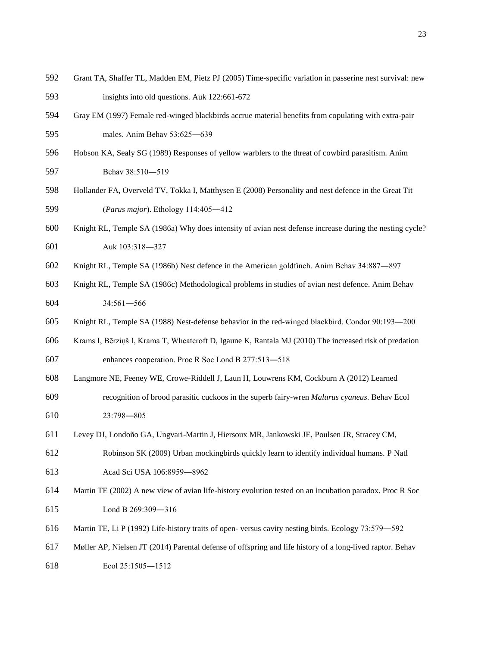- Grant TA, Shaffer TL, Madden EM, Pietz PJ (2005) Time-specific variation in passerine nest survival: new insights into old questions. Auk 122:661-672
- Gray EM (1997) Female red-winged blackbirds accrue material benefits from copulating with extra-pair males. Anim Behav 53:625―639
- Hobson KA, Sealy SG (1989) Responses of yellow warblers to the threat of cowbird parasitism. Anim 597 Behav 38:510-519
- Hollander FA, Overveld TV, Tokka I, Matthysen E (2008) Personality and nest defence in the Great Tit (*Parus major*). Ethology 114:405―412
- Knight RL, Temple SA (1986a) Why does intensity of avian nest defense increase during the nesting cycle? Auk 103:318―327
- Knight RL, Temple SA (1986b) Nest defence in the American goldfinch. Anim Behav 34:887―897
- Knight RL, Temple SA (1986c) Methodological problems in studies of avian nest defence. Anim Behav 34:561―566
- Knight RL, Temple SA (1988) Nest-defense behavior in the red-winged blackbird. Condor 90:193―200
- Krams I, Bērziņš I, Krama T, Wheatcroft D, Igaune K, Rantala MJ (2010) The increased risk of predation enhances cooperation. Proc R Soc Lond B 277:513―518
- Langmore NE, Feeney WE, Crowe-Riddell J, Laun H, Louwrens KM, Cockburn A (2012) Learned
- recognition of brood parasitic cuckoos in the superb fairy-wren *Malurus cyaneus*. Behav Ecol 23:798―805
- Levey DJ, Londoño GA, Ungvari-Martin J, Hiersoux MR, Jankowski JE, Poulsen JR, Stracey CM,
- Robinson SK (2009) Urban mockingbirds quickly learn to identify individual humans. P Natl Acad Sci USA 106:8959―8962
- Martin TE (2002) A new view of avian life-history evolution tested on an incubation paradox. Proc R Soc Lond B 269:309―316
- Martin TE, Li P (1992) Life-history traits of open- versus cavity nesting birds. Ecology 73:579―592
- Møller AP, Nielsen JT (2014) Parental defense of offspring and life history of a long-lived raptor. Behav
- Ecol 25:1505―1512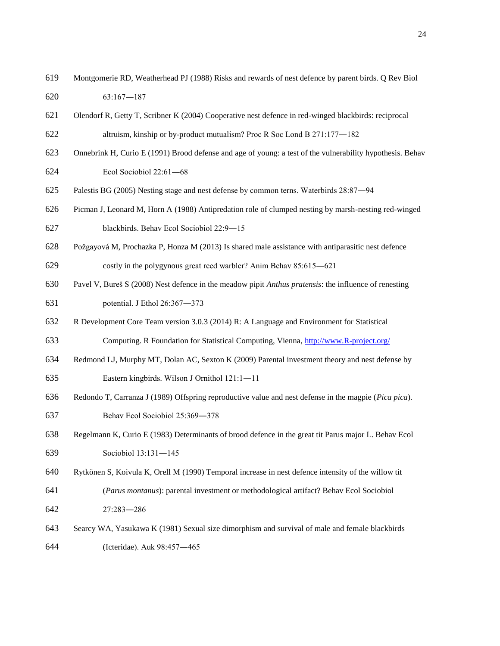- Montgomerie RD, Weatherhead PJ (1988) Risks and rewards of nest defence by parent birds. Q Rev Biol 63:167―187
- Olendorf R, Getty T, Scribner K (2004) Cooperative nest defence in red-winged blackbirds: reciprocal altruism, kinship or by-product mutualism? Proc R Soc Lond B 271:177―182
- Onnebrink H, Curio E (1991) Brood defense and age of young: a test of the vulnerability hypothesis. Behav Ecol Sociobiol 22:61―68
- Palestis BG (2005) Nesting stage and nest defense by common terns. Waterbirds 28:87―94
- Picman J, Leonard M, Horn A (1988) Antipredation role of clumped nesting by marsh-nesting red-winged blackbirds. Behav Ecol Sociobiol 22:9―15
- Požgayová M, Prochazka P, Honza M (2013) Is shared male assistance with antiparasitic nest defence

costly in the polygynous great reed warbler? Anim Behav 85:615―621

- Pavel V, Bureš S (2008) Nest defence in the meadow pipit *Anthus pratensis*: the influence of renesting potential. J Ethol 26:367―373
- R Development Core Team version 3.0.3 (2014) R: A Language and Environment for Statistical

Computing. R Foundation for Statistical Computing, Vienna, [http://www.R-project.org/](http://www.r-project.org/)

Redmond LJ, Murphy MT, Dolan AC, Sexton K (2009) Parental investment theory and nest defense by

Eastern kingbirds. Wilson J Ornithol 121:1―11

- Redondo T, Carranza J (1989) Offspring reproductive value and nest defense in the magpie (*Pica pica*).
- Behav Ecol Sociobiol 25:369―378
- Regelmann K, Curio E (1983) Determinants of brood defence in the great tit Parus major L. Behav Ecol Sociobiol 13:131―145
- Rytkönen S, Koivula K, Orell M (1990) Temporal increase in nest defence intensity of the willow tit (*Parus montanus*): parental investment or methodological artifact? Behav Ecol Sociobiol

27:283―286

 Searcy WA, Yasukawa K (1981) Sexual size dimorphism and survival of male and female blackbirds (Icteridae). Auk 98:457―465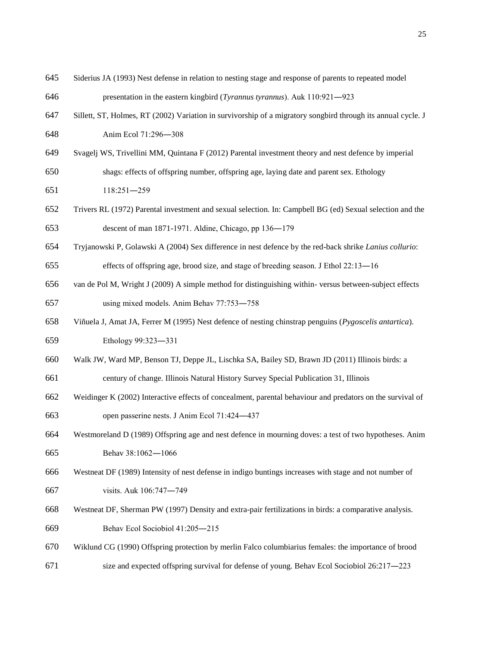- Siderius JA (1993) Nest defense in relation to nesting stage and response of parents to repeated model
- presentation in the eastern kingbird (*Tyrannus tyrannus*). Auk 110:921―923
- Sillett, ST, Holmes, RT (2002) Variation in survivorship of a migratory songbird through its annual cycle. J Anim Ecol 71:296―308
- Svagelj WS, Trivellini MM, Quintana F (2012) Parental investment theory and nest defence by imperial shags: effects of offspring number, offspring age, laying date and parent sex. Ethology
- 118:251―259
- Trivers RL (1972) Parental investment and sexual selection. In: Campbell BG (ed) Sexual selection and the descent of man 1871-1971. Aldine, Chicago, pp 136―179
- Tryjanowski P, Golawski A (2004) Sex difference in nest defence by the red-back shrike *Lanius collurio*:

effects of offspring age, brood size, and stage of breeding season. J Ethol 22:13―16

- van de Pol M, Wright J (2009) A simple method for distinguishing within- versus between-subject effects using mixed models. Anim Behav 77:753―758
- Viñuela J, Amat JA, Ferrer M (1995) Nest defence of nesting chinstrap penguins (*Pygoscelis antartica*). Ethology 99:323―331
- Walk JW, Ward MP, Benson TJ, Deppe JL, Lischka SA, Bailey SD, Brawn JD (2011) Illinois birds: a

century of change. Illinois Natural History Survey Special Publication 31, Illinois

- Weidinger K (2002) Interactive effects of concealment, parental behaviour and predators on the survival of open passerine nests. J Anim Ecol 71:424―437
- Westmoreland D (1989) Offspring age and nest defence in mourning doves: a test of two hypotheses. Anim Behav 38:1062―1066
- Westneat DF (1989) Intensity of nest defense in indigo buntings increases with stage and not number of visits. Auk 106:747―749
- Westneat DF, Sherman PW (1997) Density and extra-pair fertilizations in birds: a comparative analysis. Behav Ecol Sociobiol 41:205―215
- Wiklund CG (1990) Offspring protection by merlin Falco columbiarius females: the importance of brood
- size and expected offspring survival for defense of young. Behav Ecol Sociobiol 26:217―223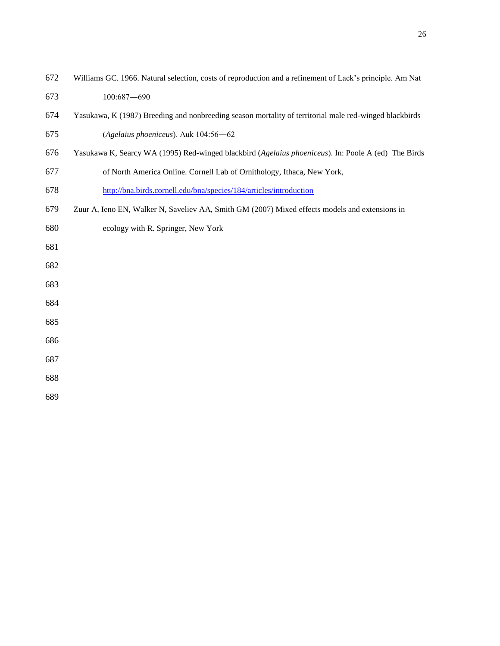- Williams GC. 1966. Natural selection, costs of reproduction and a refinement of Lack's principle. Am Nat
- 100:687―690
- Yasukawa, K (1987) Breeding and nonbreeding season mortality of territorial male red-winged blackbirds
- (*Agelaius phoeniceus*). Auk 104:56―62
- Yasukawa K, Searcy WA (1995) Red-winged blackbird (*Agelaius phoeniceus*). In: Poole A (ed) The Birds
- of North America Online. Cornell Lab of Ornithology, Ithaca, New York,
- <http://bna.birds.cornell.edu/bna/species/184/articles/introduction>
- Zuur A, Ieno EN, Walker N, Saveliev AA, Smith GM (2007) Mixed effects models and extensions in
- ecology with R. Springer, New York
- 
- 
- 
- 
- 
- 
- 
-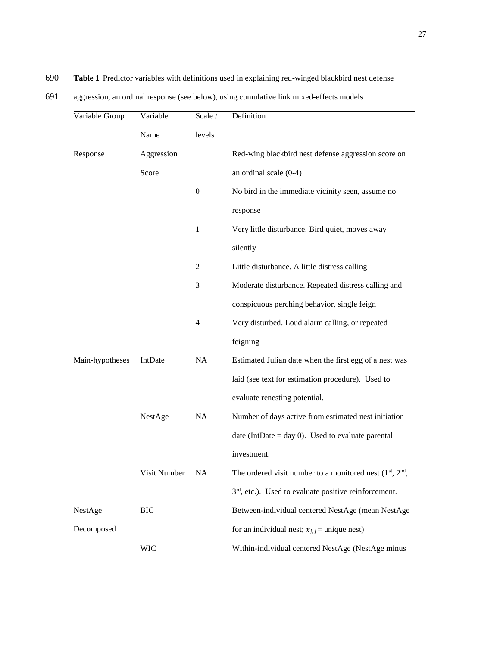# 690 **Table 1** Predictor variables with definitions used in explaining red-winged blackbird nest defense

| 691 |  | aggression, an ordinal response (see below), using cumulative link mixed-effects models |  |
|-----|--|-----------------------------------------------------------------------------------------|--|
|     |  |                                                                                         |  |

| Variable Group  | Variable     | Scale /          | Definition                                                |
|-----------------|--------------|------------------|-----------------------------------------------------------|
|                 | Name         | levels           |                                                           |
| Response        | Aggression   |                  | Red-wing blackbird nest defense aggression score on       |
|                 | Score        |                  | an ordinal scale $(0-4)$                                  |
|                 |              | $\boldsymbol{0}$ | No bird in the immediate vicinity seen, assume no         |
|                 |              |                  | response                                                  |
|                 |              | 1                | Very little disturbance. Bird quiet, moves away           |
|                 |              |                  | silently                                                  |
|                 |              | 2                | Little disturbance. A little distress calling             |
|                 |              | 3                | Moderate disturbance. Repeated distress calling and       |
|                 |              |                  | conspicuous perching behavior, single feign               |
|                 |              | 4                | Very disturbed. Loud alarm calling, or repeated           |
|                 |              |                  | feigning                                                  |
| Main-hypotheses | IntDate      | <b>NA</b>        | Estimated Julian date when the first egg of a nest was    |
|                 |              |                  | laid (see text for estimation procedure). Used to         |
|                 |              |                  | evaluate renesting potential.                             |
|                 | NestAge      | NA               | Number of days active from estimated nest initiation      |
|                 |              |                  | date (IntDate = day 0). Used to evaluate parental         |
|                 |              |                  | investment.                                               |
|                 | Visit Number | <b>NA</b>        | The ordered visit number to a monitored nest $(1st, 2nd)$ |
|                 |              |                  | $3rd$ , etc.). Used to evaluate positive reinforcement.   |
| NestAge         | <b>BIC</b>   |                  | Between-individual centered NestAge (mean NestAge         |
| Decomposed      |              |                  | for an individual nest; $\bar{x}_{j,j}$ = unique nest)    |
|                 | <b>WIC</b>   |                  | Within-individual centered NestAge (NestAge minus         |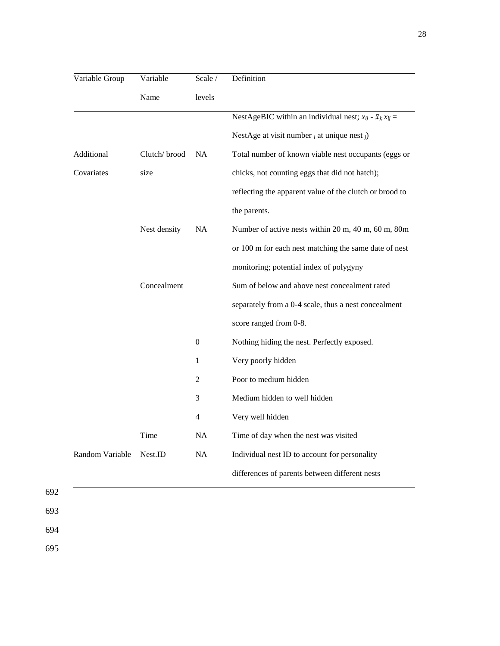| Variable Group  | Variable     | Scale /   | Definition                                                                  |
|-----------------|--------------|-----------|-----------------------------------------------------------------------------|
|                 | Name         | levels    |                                                                             |
|                 |              |           | NestAgeBIC within an individual nest; $x_{ij}$ - $\bar{x}_{j}$ ; $x_{ij}$ = |
|                 |              |           | NestAge at visit number $_i$ at unique nest $_j$ )                          |
| Additional      | Clutch/brood | <b>NA</b> | Total number of known viable nest occupants (eggs or                        |
| Covariates      | size         |           | chicks, not counting eggs that did not hatch);                              |
|                 |              |           | reflecting the apparent value of the clutch or brood to                     |
|                 |              |           | the parents.                                                                |
|                 | Nest density | NA        | Number of active nests within 20 m, 40 m, 60 m, 80m                         |
|                 |              |           | or 100 m for each nest matching the same date of nest                       |
|                 |              |           | monitoring; potential index of polygyny                                     |
|                 | Concealment  |           | Sum of below and above nest concealment rated                               |
|                 |              |           | separately from a 0-4 scale, thus a nest concealment                        |
|                 |              |           | score ranged from 0-8.                                                      |
|                 |              | $\theta$  | Nothing hiding the nest. Perfectly exposed.                                 |
|                 |              | 1         | Very poorly hidden                                                          |
|                 |              | 2         | Poor to medium hidden                                                       |
|                 |              | 3         | Medium hidden to well hidden                                                |
|                 |              | 4         | Very well hidden                                                            |
|                 | Time         | NA        | Time of day when the nest was visited                                       |
| Random Variable | Nest.ID      | NA        | Individual nest ID to account for personality                               |
|                 |              |           | differences of parents between different nests                              |

692

693

694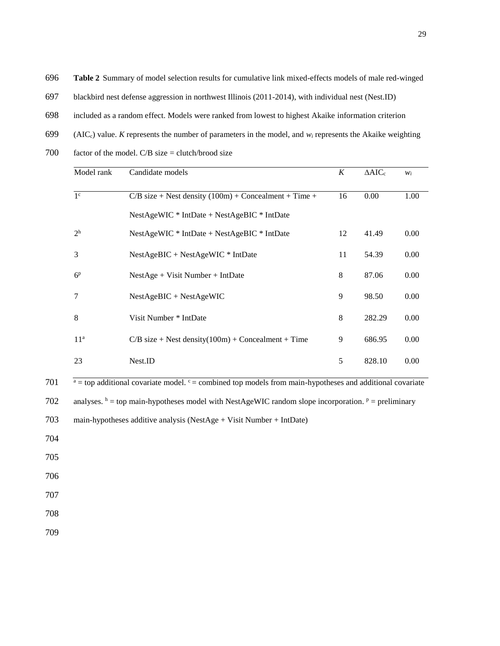**Table 2** Summary of model selection results for cumulative link mixed-effects models of male red-winged

- blackbird nest defense aggression in northwest Illinois (2011-2014), with individual nest (Nest.ID)
- included as a random effect. Models were ranked from lowest to highest Akaike information criterion
- 699 (AIC<sub>c</sub>) value. *K* represents the number of parameters in the model, and  $w_i$  represents the Akaike weighting
- factor of the model. C/B size = clutch/brood size

| Model rank      | Candidate models                                        | K  | $\triangle AIC_c$ | $W_i$ |
|-----------------|---------------------------------------------------------|----|-------------------|-------|
| 1 <sup>c</sup>  | $C/B$ size + Nest density (100m) + Concealment + Time + | 16 | 0.00              | 1.00  |
|                 | $NestAgeWIC * IntDate + NestAgeBIC * IntDate$           |    |                   |       |
| $2^h$           | $NestAgeWIC * IntDate + NestAgeBIC * IntDate$           | 12 | 41.49             | 0.00  |
| 3               | $NestAgeBIC + NestAgeWIC * IntDate$                     | 11 | 54.39             | 0.00  |
| 6 <sup>p</sup>  | $NestAge + Visit Number + IntDate$                      | 8  | 87.06             | 0.00  |
| 7               | $NestAgeBIC + NestAgeWIC$                               | 9  | 98.50             | 0.00  |
| 8               | Visit Number * IntDate                                  | 8  | 282.29            | 0.00  |
| 11 <sup>a</sup> | $C/B$ size + Nest density(100m) + Concealment + Time    | 9  | 686.95            | 0.00  |
| 23              | Nest.ID                                                 | 5  | 828.10            | 0.00  |
|                 |                                                         |    |                   |       |

701  $a = top additional covariate model.$   $c = combined top models from main-hypotheses and additional covariate$ 

702 analyses.  $h = top$  main-hypotheses model with NestAgeWIC random slope incorporation.  $p = preliminary$ 

- main-hypotheses additive analysis (NestAge + Visit Number + IntDate)
- 
- 
- 
- 
- 
-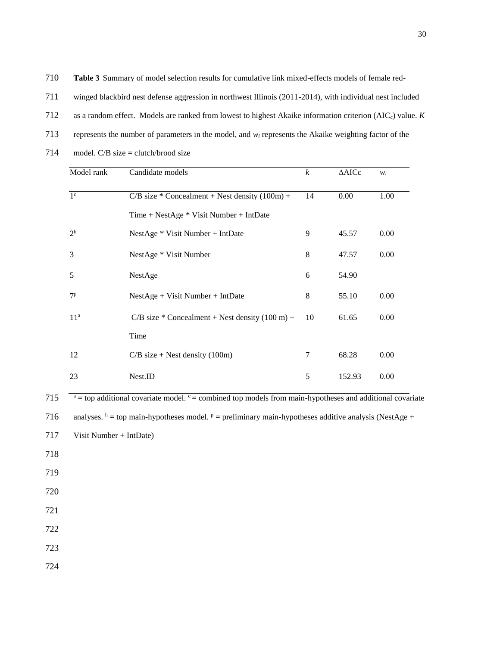**Table 3** Summary of model selection results for cumulative link mixed-effects models of female red-

| 711 | winged blackbird nest defense aggression in northwest Illinois (2011-2014), with individual nest included |  |  |  |
|-----|-----------------------------------------------------------------------------------------------------------|--|--|--|
|     |                                                                                                           |  |  |  |

as a random effect. Models are ranked from lowest to highest Akaike information criterion (AICc) value. *K*

- represents the number of parameters in the model, and *w<sup>i</sup>* represents the Akaike weighting factor of the
- 714 model.  $C/B$  size = clutch/brood size

| 1 <sup>c</sup>  | $C/B$ size * Concealment + Nest density (100m) +            | 14 | 0.00   | 1.00 |
|-----------------|-------------------------------------------------------------|----|--------|------|
|                 | $Time + NestAge * Visit Number + IntDate$                   |    |        |      |
| 2 <sup>h</sup>  | NestAge * Visit Number + IntDate                            | 9  | 45.57  | 0.00 |
| 3               | NestAge * Visit Number                                      | 8  | 47.57  | 0.00 |
| 5               | NestAge                                                     | 6  | 54.90  |      |
| 7 <sup>p</sup>  | $NestAge + Visit Number + IntDate$                          | 8  | 55.10  | 0.00 |
| 11 <sup>a</sup> | $C/B$ size * Concealment + Nest density $(100 \text{ m})$ + | 10 | 61.65  | 0.00 |
|                 | Time                                                        |    |        |      |
| 12              | $C/B$ size + Nest density (100m)                            | 7  | 68.28  | 0.00 |
| 23              | Nest.ID                                                     | 5  | 152.93 | 0.00 |

Visit Number + IntDate)

- 
- 
- 
- 
- 
- 
-